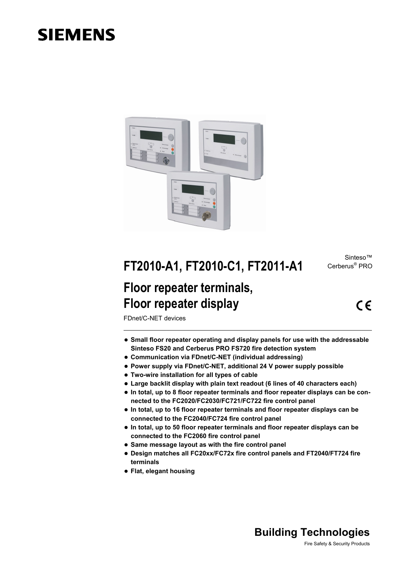# **SIEMENS**



Sinteso™ Cerberus® PRO

# **FT2010-A1, FT2010-C1, FT2011-A1**

## **Floor repeater terminals, Floor repeater display**

 $\epsilon$ 

FDnet/C-NET devices

- **Small floor repeater operating and display panels for use with the addressable Sinteso FS20 and Cerberus PRO FS720 fire detection system**
- **Communication via FDnet/C-NET (individual addressing)**
- **Power supply via FDnet/C-NET, additional 24 V power supply possible**
- **Two-wire installation for all types of cable**
- **Large backlit display with plain text readout (6 lines of 40 characters each)**
- In total, up to 8 floor repeater terminals and floor repeater displays can be con**nected to the FC2020/FC2030/FC721/FC722 fire control panel**
- In total, up to 16 floor repeater terminals and floor repeater displays can be **connected to the FC2040/FC724 fire control panel**
- In total, up to 50 floor repeater terminals and floor repeater displays can be **connected to the FC2060 fire control panel**
- **Same message layout as with the fire control panel**
- **Design matches all FC20xx/FC72x fire control panels and FT2040/FT724 fire terminals**
- **Flat, elegant housing**

## **Building Technologies**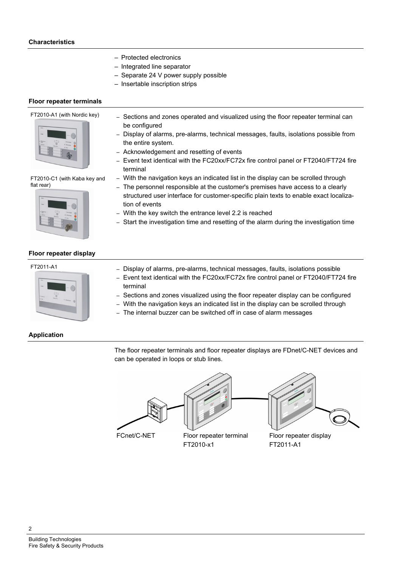- Protected electronics
- Integrated line separator
- Separate 24 V power supply possible
- Insertable inscription strips

#### **Floor repeater terminals**

FT2010-A1 (with Nordic key)



FT2010-C1 (with Kaba key and flat rear)



- Sections and zones operated and visualized using the floor repeater terminal can be configured
- Display of alarms, pre-alarms, technical messages, faults, isolations possible from the entire system.
- Acknowledgement and resetting of events
- Event text identical with the FC20xx/FC72x fire control panel or FT2040/FT724 fire terminal
- With the navigation keys an indicated list in the display can be scrolled through
- The personnel responsible at the customer's premises have access to a clearly structured user interface for customer-specific plain texts to enable exact localization of events
- With the key switch the entrance level 2.2 is reached
- Start the investigation time and resetting of the alarm during the investigation time

#### **Floor repeater display**



- FT2011-A1 Display of alarms, pre-alarms, technical messages, faults, isolations possible
	- Event text identical with the FC20xx/FC72x fire control panel or FT2040/FT724 fire terminal
	- Sections and zones visualized using the floor repeater display can be configured
	- With the navigation keys an indicated list in the display can be scrolled through
	- The internal buzzer can be switched off in case of alarm messages

## **Application**

The floor repeater terminals and floor repeater displays are FDnet/C-NET devices and can be operated in loops or stub lines.

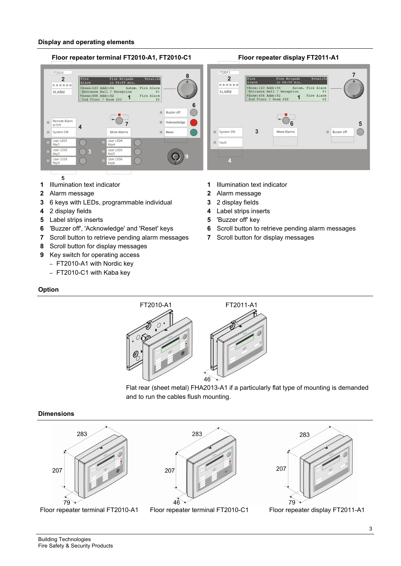#### **Display and operating elements**

#### **Floor repeater terminal FT2010-A1, FT2010-C1 Floor repeater display FT2011-A1**  FT2011 FT2010  $\overline{2}$  $\overline{2}$  $that$ al:03 Fire<br>Alarm Fire Brigade  $\begin{bmatrix} \text{Free} \\ \text{S} \end{bmatrix}$  $111C$   $1119u$  $-$ +Zone:123 Addr:04 Autom.<br>
Entrance Hall / Reception<br>
+Zone:456 Addr:02<br>
2nd Floor / Room 202  $+$ Zone:123 Addr:04<br>Entrance Hall / 1 4 Autom. Fire Alarm<br>Reception 01 Fire Alarm<br>01 Fire Alarm<br>01<br>Fire Alarm<br>02 AI ARM ALARM Entrance nail / Recep<br>+Zone:456 Addr:02<br>2nd Floor / Room 202 Fire Alarm<br>02  $\overline{1}$ 6 m. Buzzer off  $\overline{\mathbf{e}}$ Remote Alarm<br>active Acknowledge  $\overline{7}$ m 5  $\overline{4}$  $\overline{3}$ System ON System ON More Alarm **Buzzer** off More Alarmy  $\big($ User LED1<br>Key1 User LED4  $\overline{\phantom{a}}$  Fault Key4 User LED<sub>2</sub><br>Key2 User LED5<br>Key5 User LED3<br>Key3 User LED6<br>Key6

- $\overline{5}$
- 
- **2** Alarm message **2** Alarm message
- **3** 6 keys with LEDs, programmable individual **3** 2 display fields
- 
- **5** Label strips inserts **5** 'Buzzer off' key
- 
- **7** Scroll button to retrieve pending alarm messages **7** Scroll button for display messages
- **8** Scroll button for display messages
- **9** Key switch for operating access
	- FT2010-A1 with Nordic key
	- FT2010-C1 with Kaba key
- **1** Illumination text indicator **1** Illumination text indicator
	-
	-
- **4** 2 display fields **4** Label strips inserts
	-
- **6** 'Buzzer off', 'Acknowledge' and 'Reset' keys **6** Scroll button to retrieve pending alarm messages
	-

## **Option**





#### **Dimensions**



Floor repeater terminal FT2010-A1 Floor repeater terminal FT2010-C1 Floor repeater display FT2011-A1